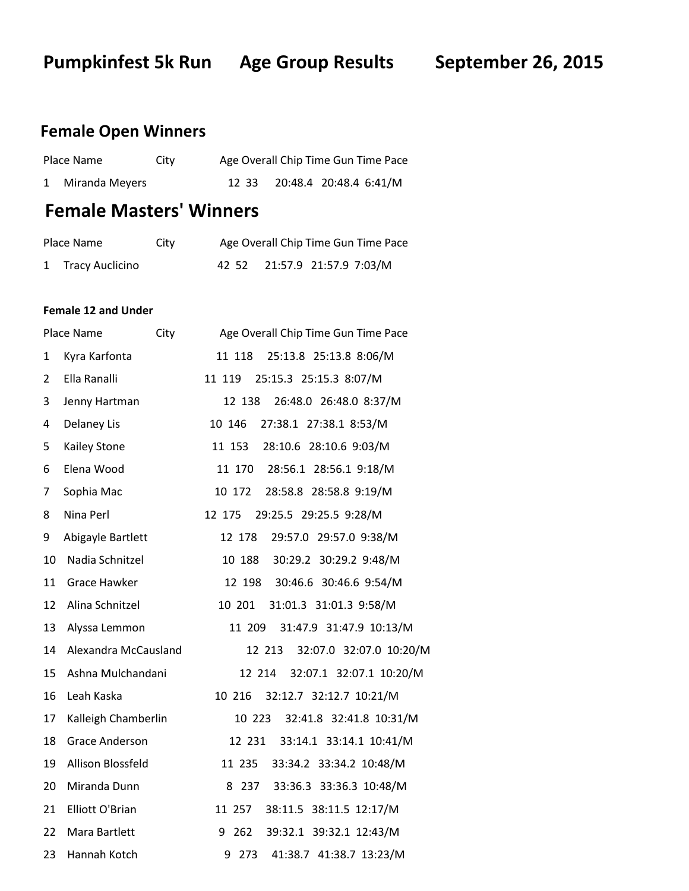**Pumpkinfest 5k Run Age Group Results September 26, 2015** 

# **Female Open Winners**

| Place Name       | City | Age Overall Chip Time Gun Time Pace |                              |  |
|------------------|------|-------------------------------------|------------------------------|--|
| 1 Miranda Meyers |      |                                     | 12 33 20:48.4 20:48.4 6:41/M |  |

# **Female Masters' Winners**

| Place Name        | City | Age Overall Chip Time Gun Time Pace |
|-------------------|------|-------------------------------------|
| 1 Tracy Auclicino |      | 42 52 21:57.9 21:57.9 7:03/M        |

### **Female 12 and Under**

|    | Place Name<br>City     | Age Overall Chip Time Gun Time Pace |
|----|------------------------|-------------------------------------|
| 1  | Kyra Karfonta          | 25:13.8 25:13.8 8:06/M<br>11 118    |
| 2  | Ella Ranalli           | 25:15.3 25:15.3 8:07/M<br>11 119    |
| 3  | Jenny Hartman          | 12 138<br>26:48.0 26:48.0 8:37/M    |
| 4  | <b>Delaney Lis</b>     | 10 146<br>27:38.1 27:38.1 8:53/M    |
| 5  | Kailey Stone           | 11 153 28:10.6 28:10.6 9:03/M       |
| 6  | Elena Wood             | 11 170 28:56.1 28:56.1 9:18/M       |
| 7  | Sophia Mac             | 10 172<br>28:58.8 28:58.8 9:19/M    |
| 8  | Nina Perl              | 12 175<br>29:25.5 29:25.5 9:28/M    |
| 9  | Abigayle Bartlett      | 29:57.0 29:57.0 9:38/M<br>12 178    |
| 10 | Nadia Schnitzel        | 10 188 30:29.2 30:29.2 9:48/M       |
| 11 | <b>Grace Hawker</b>    | 12 198 30:46.6 30:46.6 9:54/M       |
| 12 | Alina Schnitzel        | 10 201 31:01.3 31:01.3 9:58/M       |
| 13 | Alyssa Lemmon          | 11 209<br>31:47.9 31:47.9 10:13/M   |
| 14 | Alexandra McCausland   | 12 213 32:07.0 32:07.0 10:20/M      |
| 15 | Ashna Mulchandani      | 32:07.1 32:07.1 10:20/M<br>12 214   |
| 16 | Leah Kaska             | 32:12.7 32:12.7 10:21/M<br>10 216   |
| 17 | Kalleigh Chamberlin    | 10 223 32:41.8 32:41.8 10:31/M      |
| 18 | <b>Grace Anderson</b>  | 12 231<br>33:14.1 33:14.1 10:41/M   |
| 19 | Allison Blossfeld      | 11 235<br>33:34.2 33:34.2 10:48/M   |
| 20 | Miranda Dunn           | 8 237 33:36.3 33:36.3 10:48/M       |
| 21 | <b>Elliott O'Brian</b> | 11 257<br>38:11.5 38:11.5 12:17/M   |
| 22 | Mara Bartlett          | 262<br>39:32.1 39:32.1 12:43/M<br>9 |
| 23 | Hannah Kotch           | 41:38.7 41:38.7 13:23/M<br>9 273    |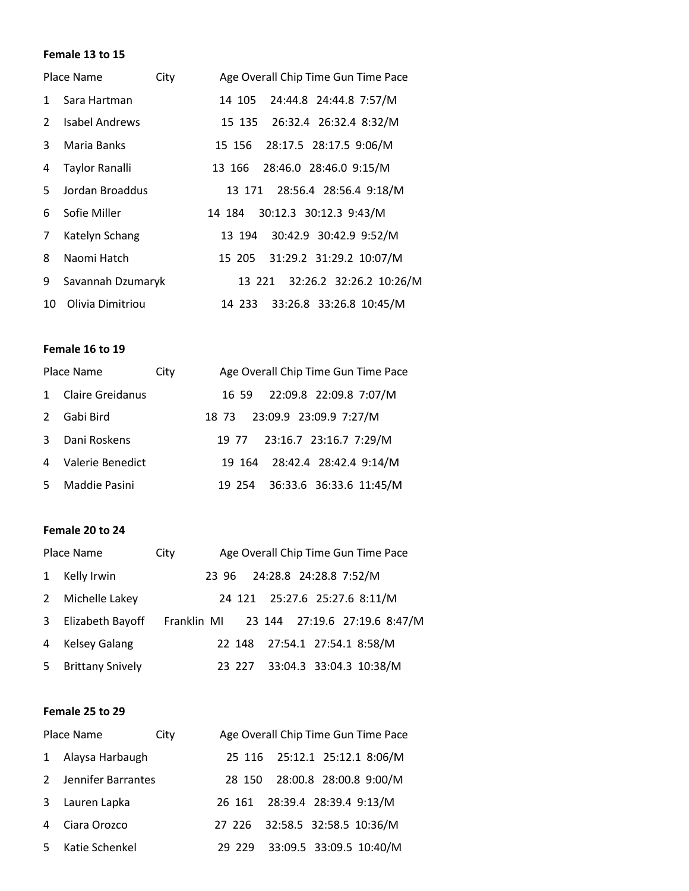#### **Female 13 to 15**

|              | Place Name        | City | Age Overall Chip Time Gun Time Pace |
|--------------|-------------------|------|-------------------------------------|
| $\mathbf{1}$ | Sara Hartman      |      | 14 105 24:44.8 24:44.8 7:57/M       |
| 2            | Isabel Andrews    |      | 15 135 26:32.4 26:32.4 8:32/M       |
| 3.           | Maria Banks       |      | 15 156 28:17.5 28:17.5 9:06/M       |
| 4            | Taylor Ranalli    |      | 13 166 28:46.0 28:46.0 9:15/M       |
| 5.           | Jordan Broaddus   |      | 13 171 28:56.4 28:56.4 9:18/M       |
| 6            | Sofie Miller      |      | 14 184 30:12.3 30:12.3 9:43/M       |
| 7            | Katelyn Schang    |      | 13 194 30:42.9 30:42.9 9:52/M       |
| 8            | Naomi Hatch       |      | 15 205 31:29.2 31:29.2 10:07/M      |
| 9            | Savannah Dzumaryk |      | 13 221 32:26.2 32:26.2 10:26/M      |
| 10 I         | Olivia Dimitriou  |      | 14 233 33:26.8 33:26.8 10:45/M      |

# **Female 16 to 19**

| Place Name    |                         | City | Age Overall Chip Time Gun Time Pace |
|---------------|-------------------------|------|-------------------------------------|
|               | <b>Claire Greidanus</b> |      | 22:09.8 22:09.8 7:07/M<br>16 59     |
| $\mathcal{P}$ | Gabi Bird               |      | 23:09.9 23:09.9 7:27/M<br>18 73     |
| 3             | Dani Roskens            |      | 19 77 23:16.7 23:16.7 7:29/M        |
| 4             | Valerie Benedict        |      | 19 164 28:42.4 28:42.4 9:14/M       |
|               | Maddie Pasini           |      | 19 254 36:33.6 36:33.6 11:45/M      |

# **Female 20 to 24**

|              | Place Name              | City        |       |        |                        |  | Age Overall Chip Time Gun Time Pace |  |
|--------------|-------------------------|-------------|-------|--------|------------------------|--|-------------------------------------|--|
| 1            | Kelly Irwin             |             | 23 96 |        | 24:28.8 24:28.8 7:52/M |  |                                     |  |
| $\mathbf{2}$ | Michelle Lakey          |             |       |        |                        |  | 24 121 25:27.6 25:27.6 8:11/M       |  |
| 3            | Elizabeth Bayoff        | Franklin MI |       |        |                        |  | 23 144 27:19.6 27:19.6 8:47/M       |  |
| 4            | <b>Kelsey Galang</b>    |             |       |        |                        |  | 22 148 27:54.1 27:54.1 8:58/M       |  |
| 5            | <b>Brittany Snively</b> |             |       | 23 227 |                        |  | 33:04.3 33:04.3 10:38/M             |  |

#### **Female 25 to 29**

| Place Name<br>City |                    |  | Age Overall Chip Time Gun Time Pace |                                |  |
|--------------------|--------------------|--|-------------------------------------|--------------------------------|--|
|                    | Alaysa Harbaugh    |  |                                     | 25 116 25:12.1 25:12.1 8:06/M  |  |
|                    | Jennifer Barrantes |  |                                     | 28 150 28:00.8 28:00.8 9:00/M  |  |
| 3                  | Lauren Lapka       |  |                                     | 26 161 28:39.4 28:39.4 9:13/M  |  |
|                    | Ciara Orozco       |  |                                     | 27 226 32:58.5 32:58.5 10:36/M |  |
|                    | Katie Schenkel     |  | 29 229                              | 33:09.5 33:09.5 10:40/M        |  |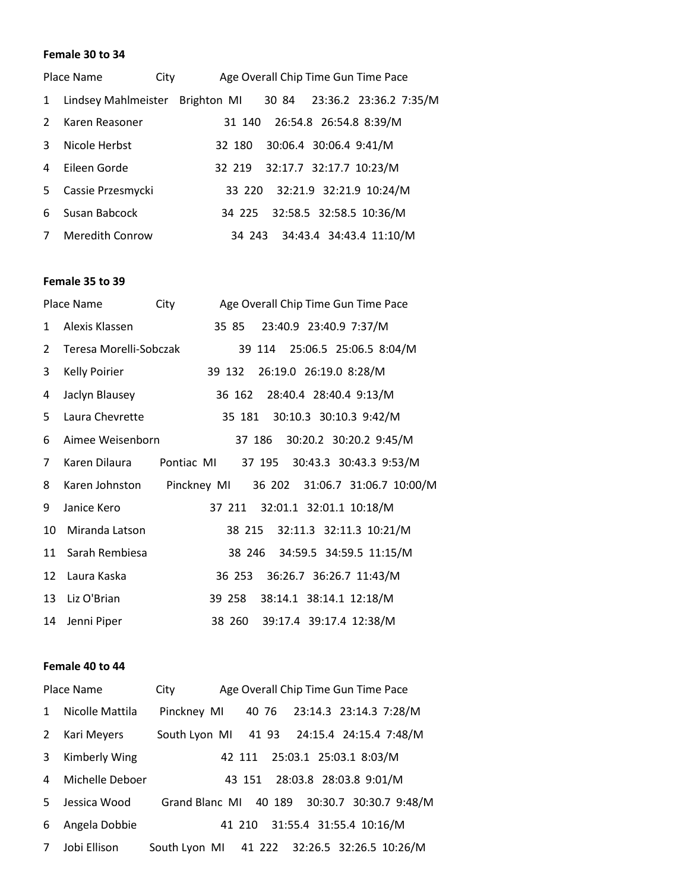#### **Female 30 to 34**

|              | Place Name                      | City |        | Age Overall Chip Time Gun Time Pace |  |
|--------------|---------------------------------|------|--------|-------------------------------------|--|
| $\mathbf{1}$ | Lindsey Mahlmeister Brighton MI |      |        | 30 84 23:36.2 23:36.2 7:35/M        |  |
| 2            | Karen Reasoner                  |      |        | 31 140 26:54.8 26:54.8 8:39/M       |  |
| 3            | Nicole Herbst                   |      | 32 180 | 30:06.4 30:06.4 9:41/M              |  |
| 4            | Fileen Gorde                    |      | 32 219 | 32:17.7 32:17.7 10:23/M             |  |
| 5.           | Cassie Przesmycki               |      | 33 220 | 32:21.9 32:21.9 10:24/M             |  |
| 6            | Susan Babcock                   |      | 34 225 | 32:58.5 32:58.5 10:36/M             |  |
|              | <b>Meredith Conrow</b>          |      |        | 34 243 34:43.4 34:43.4 11:10/M      |  |

#### **Female 35 to 39**

|    | Place Name                                                | City       |                               | Age Overall Chip Time Gun Time Pace |                         |  |
|----|-----------------------------------------------------------|------------|-------------------------------|-------------------------------------|-------------------------|--|
| 1  | Alexis Klassen                                            |            | 35 85                         |                                     | 23:40.9 23:40.9 7:37/M  |  |
| 2  | Teresa Morelli-Sobczak                                    |            |                               | 39 114 25:06.5 25:06.5 8:04/M       |                         |  |
| 3  | <b>Kelly Poirier</b>                                      |            | 39 132 26:19.0 26:19.0 8:28/M |                                     |                         |  |
| 4  | Jaclyn Blausey                                            |            |                               | 36 162 28:40.4 28:40.4 9:13/M       |                         |  |
| 5  | Laura Chevrette                                           |            |                               | 35 181 30:10.3 30:10.3 9:42/M       |                         |  |
| 6  | Aimee Weisenborn                                          |            |                               | 37 186                              | 30:20.2 30:20.2 9:45/M  |  |
| 7  | Karen Dilaura                                             | Pontiac MI |                               | 37 195 30:43.3 30:43.3 9:53/M       |                         |  |
| 8  | Karen Johnston Pinckney MI 36 202 31:06.7 31:06.7 10:00/M |            |                               |                                     |                         |  |
| 9  | Janice Kero                                               |            |                               | 37 211 32:01.1 32:01.1 10:18/M      |                         |  |
| 10 | Miranda Latson                                            |            |                               | 38 215 32:11.3 32:11.3 10:21/M      |                         |  |
| 11 | Sarah Rembiesa                                            |            |                               | 38 246 34:59.5 34:59.5 11:15/M      |                         |  |
| 12 | Laura Kaska                                               |            |                               | 36 253 36:26.7 36:26.7 11:43/M      |                         |  |
| 13 | Liz O'Brian                                               |            | 39 258                        |                                     | 38:14.1 38:14.1 12:18/M |  |
| 14 | Jenni Piper                                               |            | 38 260                        |                                     | 39:17.4 39:17.4 12:38/M |  |

#### **Female 40 to 44**

|              | Place Name      | City                                         |       | Age Overall Chip Time Gun Time Pace |                        |  |
|--------------|-----------------|----------------------------------------------|-------|-------------------------------------|------------------------|--|
| $\mathbf{1}$ | Nicolle Mattila | Pinckney MI                                  | 40 76 | 23:14.3 23:14.3 7:28/M              |                        |  |
| 2            | Kari Meyers     | South Lyon MI 41 93                          |       |                                     | 24:15.4 24:15.4 7:48/M |  |
| 3            | Kimberly Wing   |                                              |       | 42 111 25:03.1 25:03.1 8:03/M       |                        |  |
| 4            | Michelle Deboer |                                              |       | 43 151 28:03.8 28:03.8 9:01/M       |                        |  |
| 5.           | Jessica Wood    | Grand Blanc MI 40 189 30:30.7 30:30.7 9:48/M |       |                                     |                        |  |
| 6            | Angela Dobbie   |                                              |       | 41 210 31:55.4 31:55.4 10:16/M      |                        |  |
|              | Jobi Ellison    | South Lyon MI 41 222 32:26.5 32:26.5 10:26/M |       |                                     |                        |  |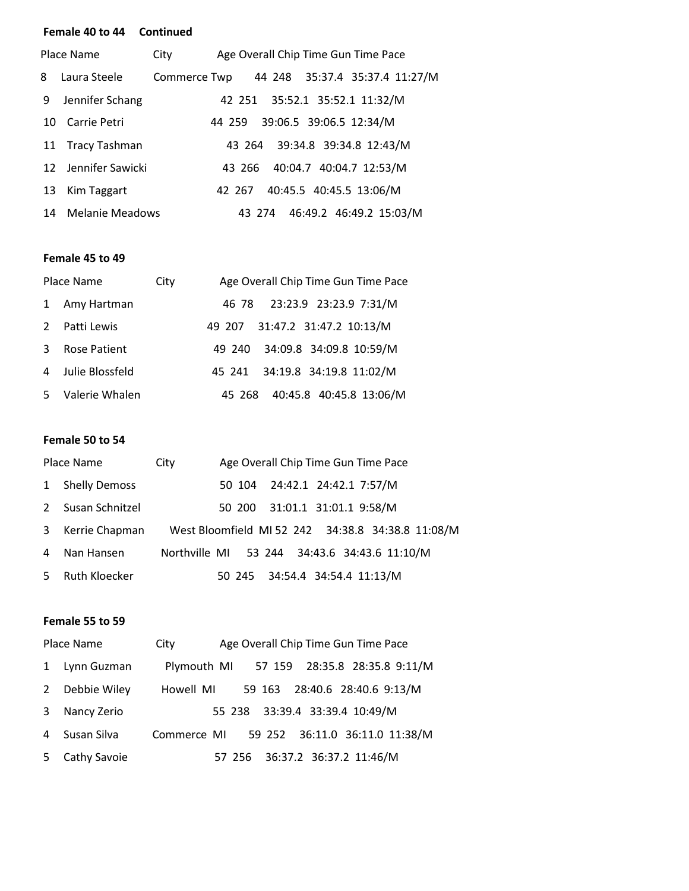#### **Female 40 to 44 Continued**

| Place Name |                     | City<br>Age Overall Chip Time Gun Time Pace    |  |
|------------|---------------------|------------------------------------------------|--|
| 8          | Laura Steele        | 44 248 35:37.4 35:37.4 11:27/M<br>Commerce Twp |  |
| 9          | Jennifer Schang     | 42 251 35:52.1 35:52.1 11:32/M                 |  |
| 10         | Carrie Petri        | 44 259 39:06.5 39:06.5 12:34/M                 |  |
|            | 11 Tracy Tashman    | 43 264 39:34.8 39:34.8 12:43/M                 |  |
|            | 12 Jennifer Sawicki | 43 266 40:04.7 40:04.7 12:53/M                 |  |
| 13         | Kim Taggart         | 40:45.5 40:45.5 13:06/M<br>42 267              |  |
|            | 14 Melanie Meadows  | 46:49.2 46:49.2 15:03/M<br>43 274              |  |

## **Female 45 to 49**

| Place Name    |                 | City | Age Overall Chip Time Gun Time Pace |
|---------------|-----------------|------|-------------------------------------|
| 1             | Amy Hartman     |      | 46 78 23:23.9 23:23.9 7:31/M        |
| $\mathcal{P}$ | Patti Lewis     |      | 49 207 31:47.2 31:47.2 10:13/M      |
| 3             | Rose Patient    |      | 49 240 34:09.8 34:09.8 10:59/M      |
| 4             | Julie Blossfeld |      | 45 241 34:19.8 34:19.8 11:02/M      |
| 5.            | Valerie Whalen  |      | 40:45.8 40:45.8 13:06/M<br>45 268   |

# **Female 50 to 54**

|              | Place Name           | City          |  | Age Overall Chip Time Gun Time Pace |                                                   |  |
|--------------|----------------------|---------------|--|-------------------------------------|---------------------------------------------------|--|
| $\mathbf{1}$ | <b>Shelly Demoss</b> |               |  | 50 104 24:42.1 24:42.1 7:57/M       |                                                   |  |
| 2            | Susan Schnitzel      |               |  | 50 200 31:01.1 31:01.1 9:58/M       |                                                   |  |
| 3            | Kerrie Chapman       |               |  |                                     | West Bloomfield MI 52 242 34:38.8 34:38.8 11:08/M |  |
| 4            | Nan Hansen           | Northville MI |  |                                     | 53 244 34:43.6 34:43.6 11:10/M                    |  |
| 5.           | <b>Ruth Kloecker</b> |               |  | 50 245 34:54.4 34:54.4 11:13/M      |                                                   |  |

#### **Female 55 to 59**

|    | Place Name   | Age Overall Chip Time Gun Time Pace<br>City      |
|----|--------------|--------------------------------------------------|
| 1  | Lynn Guzman  | 28:35.8 28:35.8 9:11/M<br>Plymouth MI<br>57 159  |
| 2  | Debbie Wiley | 28:40.6 28:40.6 9:13/M<br>Howell MI<br>59 163    |
| 3  | Nancy Zerio  | 55 238 33:39.4 33:39.4 10:49/M                   |
| 4  | Susan Silva  | 36:11.0 36:11.0 11:38/M<br>Commerce MI<br>59 252 |
| 5. | Cathy Savoie | 36:37.2 36:37.2 11:46/M<br>57 256                |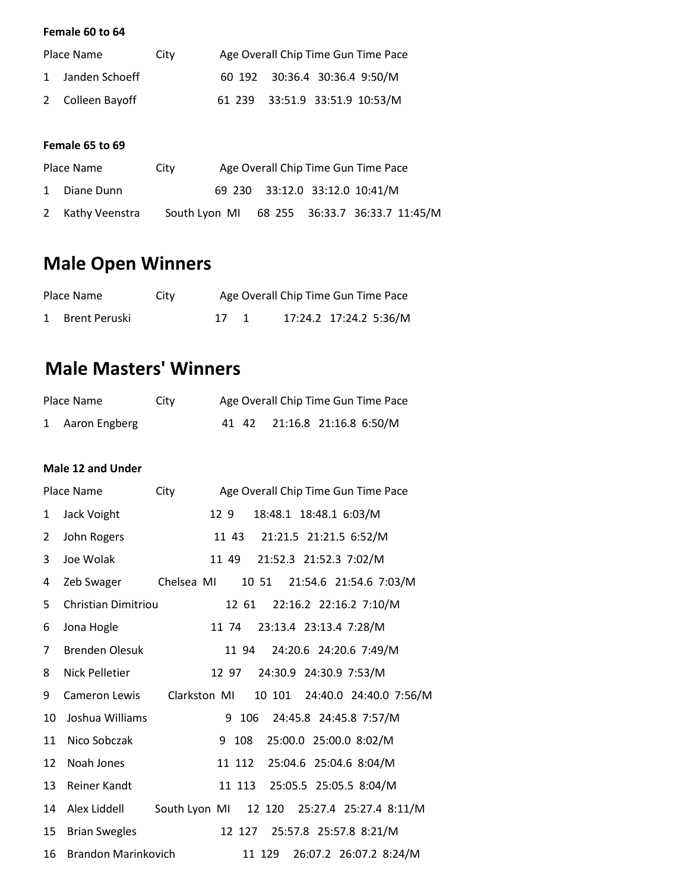# **Female 60 to 64**

| Place Name<br>City |                  | Age Overall Chip Time Gun Time Pace |  |                                |  |
|--------------------|------------------|-------------------------------------|--|--------------------------------|--|
|                    | 1 Janden Schoeff |                                     |  | 60 192 30:36.4 30:36.4 9:50/M  |  |
|                    | 2 Colleen Bayoff |                                     |  | 61 239 33:51.9 33:51.9 10:53/M |  |

# **Female 65 to 69**

| Place Name |                  | Age Overall Chip Time Gun Time Pace<br>City |                                |  |                                              |  |
|------------|------------------|---------------------------------------------|--------------------------------|--|----------------------------------------------|--|
|            | 1 Diane Dunn     |                                             | 69 230 33:12.0 33:12.0 10:41/M |  |                                              |  |
|            | 2 Kathy Veenstra |                                             |                                |  | South Lyon MI 68 255 36:33.7 36:33.7 11:45/M |  |

# **Male Open Winners**

| Place Name      | City |      | Age Overall Chip Time Gun Time Pace |  |
|-----------------|------|------|-------------------------------------|--|
| 1 Brent Peruski |      | 17 1 | 17:24.2 17:24.2 5:36/M              |  |

# **Male Masters' Winners**

| Place Name      | City |  | Age Overall Chip Time Gun Time Pace |  |
|-----------------|------|--|-------------------------------------|--|
| 1 Aaron Engberg |      |  | 41 42 21:16.8 21:16.8 6:50/M        |  |

# **Male 12 and Under**

|                | Place Name            | City         | Age Overall Chip Time Gun Time Pace         |
|----------------|-----------------------|--------------|---------------------------------------------|
| $\mathbf{1}$   | Jack Voight           |              | 18:48.1 18:48.1 6:03/M<br>129               |
| $\overline{2}$ | John Rogers           |              | 21:21.5 21:21.5 6:52/M<br>11 43             |
| 3              | Joe Wolak             |              | 21:52.3 21:52.3 7:02/M<br>11 49             |
| 4              | Zeb Swager            | Chelsea MI   | 10 51 21:54.6 21:54.6 7:03/M                |
| 5              | Christian Dimitriou   |              | 22:16.2 22:16.2 7:10/M<br>12 61             |
| 6              | Jona Hogle            |              | 23:13.4 23:13.4 7:28/M<br>11 74             |
| 7              | <b>Brenden Olesuk</b> |              | 24:20.6 24:20.6 7:49/M<br>11 94             |
| 8              | Nick Pelletier        |              | 24:30.9 24:30.9 7:53/M<br>12 97             |
| 9              | <b>Cameron Lewis</b>  | Clarkston MI | 10 101 24:40.0 24:40.0 7:56/M               |
| 10             | Joshua Williams       |              | 9 106<br>24:45.8 24:45.8 7:57/M             |
| 11             | Nico Sobczak          |              | 9<br>25:00.0 25:00.0 8:02/M<br>108          |
| 12             | Noah Jones            |              | 25:04.6 25:04.6 8:04/M<br>11 112            |
| 13             | <b>Reiner Kandt</b>   |              | 25:05.5 25:05.5 8:04/M<br>11 113            |
| 14             | Alex Liddell          |              | South Lyon MI 12 120 25:27.4 25:27.4 8:11/M |
| 15             | <b>Brian Swegles</b>  |              | 12 127 25:57.8 25:57.8 8:21/M               |
| 16             | Brandon Marinkovich   |              | 26:07.2 26:07.2 8:24/M<br>11 129            |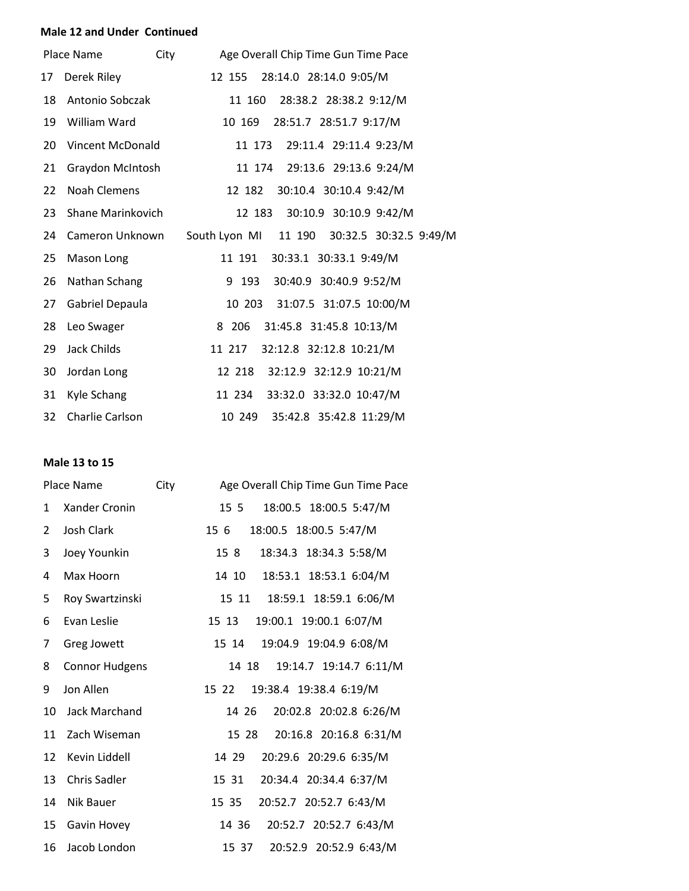#### **Male 12 and Under Continued**

|    | City<br>Place Name  | Age Overall Chip Time Gun Time Pace         |
|----|---------------------|---------------------------------------------|
| 17 | Derek Riley         | 28:14.0 28:14.0 9:05/M<br>12 155            |
| 18 | Antonio Sobczak     | 11 160 28:38.2 28:38.2 9:12/M               |
| 19 | William Ward        | 28:51.7 28:51.7 9:17/M<br>10 169            |
| 20 | Vincent McDonald    | 11 173 29:11.4 29:11.4 9:23/M               |
| 21 | Graydon McIntosh    | 11 174 29:13.6 29:13.6 9:24/M               |
| 22 | <b>Noah Clemens</b> | 30:10.4 30:10.4 9:42/M<br>12 182            |
| 23 | Shane Marinkovich   | 30:10.9 30:10.9 9:42/M<br>12 183            |
| 24 | Cameron Unknown     | South Lyon MI 11 190 30:32.5 30:32.5 9:49/M |
| 25 | Mason Long          | 30:33.1 30:33.1 9:49/M<br>11 191            |
| 26 | Nathan Schang       | 30:40.9 30:40.9 9:52/M<br>9 193             |
| 27 | Gabriel Depaula     | 10 203 31:07.5 31:07.5 10:00/M              |
| 28 | Leo Swager          | 31:45.8 31:45.8 10:13/M<br>8 206            |
| 29 | Jack Childs         | 32:12.8 32:12.8 10:21/M<br>11 217           |
| 30 | Jordan Long         | 12 218<br>32:12.9 32:12.9 10:21/M           |
| 31 | Kyle Schang         | 11 234 33:32.0 33:32.0 10:47/M              |
| 32 | Charlie Carlson     | 35:42.8 35:42.8 11:29/M<br>10 249           |

# **Male 13 to 15**

|                | Place Name            | City | Age Overall Chip Time Gun Time Pace       |
|----------------|-----------------------|------|-------------------------------------------|
| $\mathbf{1}$   | <b>Xander Cronin</b>  |      | 18:00.5 18:00.5 5:47/M<br>15 5            |
| $\overline{2}$ | Josh Clark            |      | 18:00.5 18:00.5 5:47/M<br>156             |
| 3              | Joey Younkin          |      | 18:34.3 18:34.3 5:58/M<br>15 <sub>8</sub> |
| 4              | Max Hoorn             |      | 18:53.1 18:53.1 6:04/M<br>14 10           |
| 5              | Roy Swartzinski       |      | 18:59.1 18:59.1 6:06/M<br>15 11           |
| 6              | Evan Leslie           |      | 19:00.1 19:00.1 6:07/M<br>15 13           |
| 7              | Greg Jowett           |      | 19:04.9 19:04.9 6:08/M<br>15 14           |
| 8              | <b>Connor Hudgens</b> |      | 19:14.7 19:14.7 6:11/M<br>14 18           |
| 9              | Jon Allen             |      | 19:38.4 19:38.4 6:19/M<br>15 22           |
| 10             | <b>Jack Marchand</b>  |      | 20:02.8 20:02.8 6:26/M<br>14 26           |
| 11             | Zach Wiseman          |      | 20:16.8 20:16.8 6:31/M<br>15 28           |
| 12             | Kevin Liddell         |      | 20:29.6 20:29.6 6:35/M<br>14 29           |
| 13             | <b>Chris Sadler</b>   |      | 20:34.4 20:34.4 6:37/M<br>15 31           |
| 14             | Nik Bauer             |      | 20:52.7 20:52.7 6:43/M<br>15 35           |
| 15             | Gavin Hovey           |      | 20:52.7 20:52.7 6:43/M<br>14 36           |
| 16             | Jacob London          |      | 20:52.9 20:52.9 6:43/M<br>15 37           |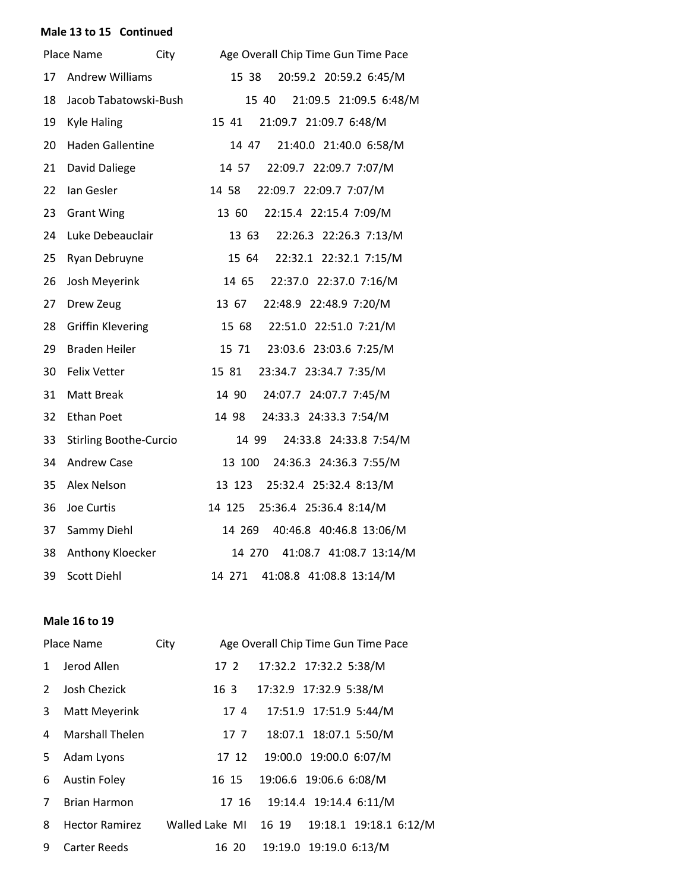### **Male 13 to 15 Continued**

|    | Place Name                    | City | Age Overall Chip Time Gun Time Pace |
|----|-------------------------------|------|-------------------------------------|
| 17 | <b>Andrew Williams</b>        |      | 15 38<br>20:59.2 20:59.2 6:45/M     |
| 18 | Jacob Tabatowski-Bush         |      | 21:09.5 21:09.5 6:48/M<br>15 40     |
| 19 | <b>Kyle Haling</b>            |      | 21:09.7 21:09.7 6:48/M<br>15 41     |
| 20 | <b>Haden Gallentine</b>       |      | 21:40.0 21:40.0 6:58/M<br>14 47     |
| 21 | David Daliege                 |      | 14 57<br>22:09.7 22:09.7 7:07/M     |
| 22 | Ian Gesler                    |      | 22:09.7 22:09.7 7:07/M<br>14 58     |
| 23 | <b>Grant Wing</b>             |      | 22:15.4 22:15.4 7:09/M<br>13 60     |
| 24 | Luke Debeauclair              |      | 13 63<br>22:26.3 22:26.3 7:13/M     |
| 25 | Ryan Debruyne                 |      | 15 64<br>22:32.1 22:32.1 7:15/M     |
| 26 | Josh Meyerink                 |      | 14 65<br>22:37.0 22:37.0 7:16/M     |
| 27 | Drew Zeug                     |      | 22:48.9 22:48.9 7:20/M<br>13 67     |
| 28 | <b>Griffin Klevering</b>      |      | 15 68 22:51.0 22:51.0 7:21/M        |
| 29 | <b>Braden Heiler</b>          |      | 15 71<br>23:03.6 23:03.6 7:25/M     |
| 30 | <b>Felix Vetter</b>           |      | 15 81<br>23:34.7 23:34.7 7:35/M     |
| 31 | <b>Matt Break</b>             |      | 14 90<br>24:07.7 24:07.7 7:45/M     |
| 32 | <b>Ethan Poet</b>             |      | 14 98<br>24:33.3 24:33.3 7:54/M     |
| 33 | <b>Stirling Boothe-Curcio</b> |      | 14 99<br>24:33.8 24:33.8 7:54/M     |
| 34 | <b>Andrew Case</b>            |      | 24:36.3 24:36.3 7:55/M<br>13 100    |
| 35 | Alex Nelson                   |      | 13 123<br>25:32.4 25:32.4 8:13/M    |
| 36 | Joe Curtis                    |      | 14 125<br>25:36.4 25:36.4 8:14/M    |
| 37 | Sammy Diehl                   |      | 40:46.8 40:46.8 13:06/M<br>14 269   |
| 38 | Anthony Kloecker              |      | 14 270<br>41:08.7 41:08.7 13:14/M   |
| 39 | <b>Scott Diehl</b>            |      | 41:08.8 41:08.8 13:14/M<br>14 271   |

#### **Male 16 to 19**

|    | Place Name             | City |                      | Age Overall Chip Time Gun Time Pace |  |
|----|------------------------|------|----------------------|-------------------------------------|--|
| 1  | Jerod Allen            | 17 2 |                      | 17:32.2 17:32.2 5:38/M              |  |
| 2  | Josh Chezick           | 16 3 |                      | 17:32.9 17:32.9 5:38/M              |  |
| 3  | Matt Meyerink          |      | 174                  | 17:51.9 17:51.9 5:44/M              |  |
| 4  | <b>Marshall Thelen</b> |      | 17 7                 | 18:07.1 18:07.1 5:50/M              |  |
| 5. | Adam Lyons             |      | 17 12                | 19:00.0 19:00.0 6:07/M              |  |
| 6  | <b>Austin Foley</b>    |      | 16 15                | 19:06.6 19:06.6 6:08/M              |  |
| 7  | <b>Brian Harmon</b>    |      | 17 16                | 19:14.4 19:14.4 6:11/M              |  |
| 8  | <b>Hector Ramirez</b>  |      | Walled Lake MI 16 19 | 19:18.1 19:18.1 6:12/M              |  |
| 9  | Carter Reeds           |      | 16 20                | 19:19.0 19:19.0 6:13/M              |  |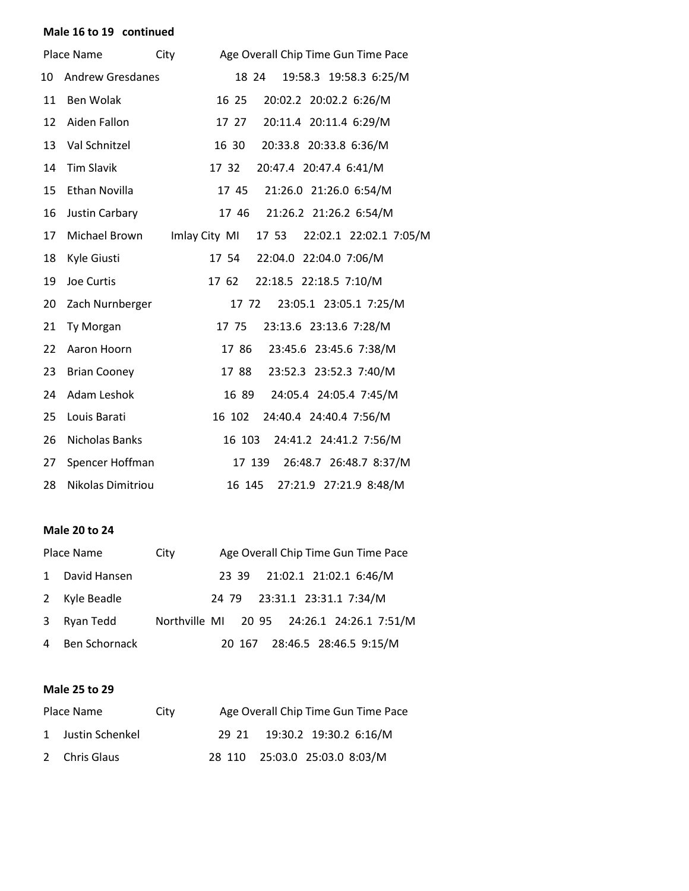# **Male 16 to 19 continued**

|    | Place Name              | City | Age Overall Chip Time Gun Time Pace              |
|----|-------------------------|------|--------------------------------------------------|
| 10 | <b>Andrew Gresdanes</b> |      | 19:58.3 19:58.3 6:25/M<br>18 24                  |
| 11 | Ben Wolak               |      | 16 25<br>20:02.2 20:02.2 6:26/M                  |
| 12 | Aiden Fallon            |      | 20:11.4 20:11.4 6:29/M<br>17 27                  |
| 13 | Val Schnitzel           |      | 20:33.8 20:33.8 6:36/M<br>16 30                  |
| 14 | <b>Tim Slavik</b>       |      | 17 32<br>20:47.4 20:47.4 6:41/M                  |
| 15 | Ethan Novilla           |      | 21:26.0 21:26.0 6:54/M<br>17 45                  |
| 16 | Justin Carbary          |      | 21:26.2 21:26.2 6:54/M<br>1746                   |
| 17 | Michael Brown           |      | Imlay City MI<br>17 53<br>22:02.1 22:02.1 7:05/M |
| 18 | Kyle Giusti             |      | 22:04.0 22:04.0 7:06/M<br>17 54                  |
| 19 | Joe Curtis              |      | 22:18.5 22:18.5 7:10/M<br>17 62                  |
| 20 | Zach Nurnberger         |      | 23:05.1 23:05.1 7:25/M<br>17 72                  |
| 21 | Ty Morgan               |      | 17 75<br>23:13.6 23:13.6 7:28/M                  |
| 22 | Aaron Hoorn             |      | 17 86<br>23:45.6 23:45.6 7:38/M                  |
| 23 | <b>Brian Cooney</b>     |      | 23:52.3 23:52.3 7:40/M<br>1788                   |
| 24 | Adam Leshok             |      | 16 89<br>24:05.4 24:05.4 7:45/M                  |
| 25 | Louis Barati            |      | 24:40.4 24:40.4 7:56/M<br>16 102                 |
| 26 | Nicholas Banks          |      | 24:41.2 24:41.2 7:56/M<br>16 103                 |
| 27 | Spencer Hoffman         |      | 17 139<br>26:48.7 26:48.7 8:37/M                 |
| 28 | Nikolas Dimitriou       |      | 27:21.9 27:21.9 8:48/M<br>16 145                 |

# **Male 20 to 24**

| Place Name      | City                                       |  |  | Age Overall Chip Time Gun Time Pace |  |
|-----------------|--------------------------------------------|--|--|-------------------------------------|--|
| 1 David Hansen  |                                            |  |  | 23 39 21:02.1 21:02.1 6:46/M        |  |
| 2 Kyle Beadle   |                                            |  |  | 24 79 23:31.1 23:31.1 7:34/M        |  |
| 3 Ryan Tedd     | Northville MI 20 95 24:26.1 24:26.1 7:51/M |  |  |                                     |  |
| 4 Ben Schornack |                                            |  |  | 20 167 28:46.5 28:46.5 9:15/M       |  |

# **Male 25 to 29**

| Place Name        | City | Age Overall Chip Time Gun Time Pace |                               |  |  |
|-------------------|------|-------------------------------------|-------------------------------|--|--|
| 1 Justin Schenkel |      |                                     | 29 21 19:30.2 19:30.2 6:16/M  |  |  |
| 2 Chris Glaus     |      |                                     | 28 110 25:03.0 25:03.0 8:03/M |  |  |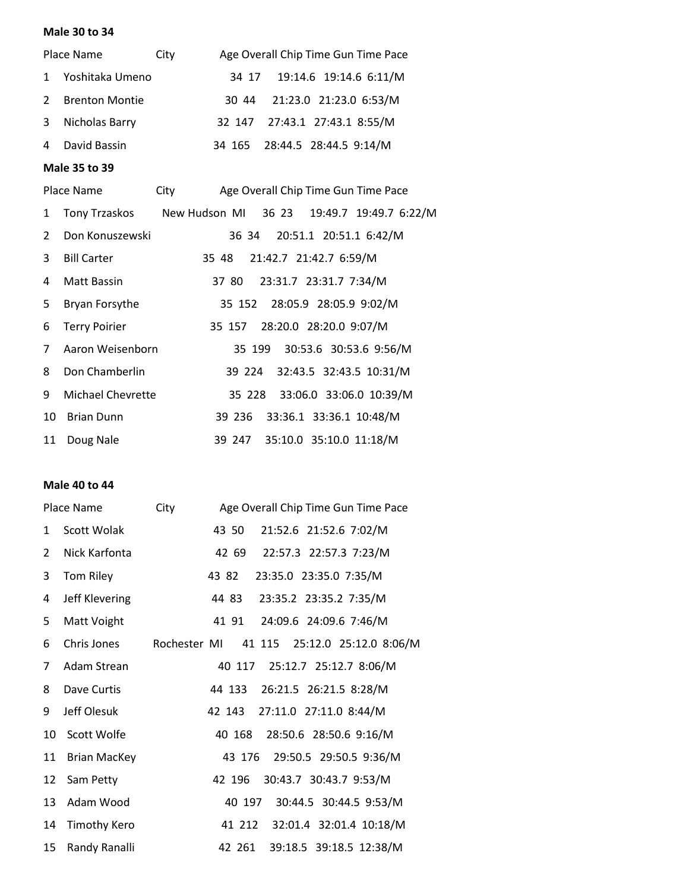# **Male 30 to 34**

|               | Place Name            | City | Age Overall Chip Time Gun Time Pace |                               |  |  |
|---------------|-----------------------|------|-------------------------------------|-------------------------------|--|--|
| $\mathbf{1}$  | Yoshitaka Umeno       |      |                                     | 34 17 19:14.6 19:14.6 6:11/M  |  |  |
| $\mathcal{P}$ | <b>Brenton Montie</b> |      |                                     | 30 44 21:23.0 21:23.0 6:53/M  |  |  |
| 3             | Nicholas Barry        |      |                                     | 32 147 27:43.1 27:43.1 8:55/M |  |  |
| 4             | David Bassin          |      |                                     | 34 165 28:44.5 28:44.5 9:14/M |  |  |

### **Male 35 to 39**

|    | Place Name                                               | City |       | Age Overall Chip Time Gun Time Pace |  |
|----|----------------------------------------------------------|------|-------|-------------------------------------|--|
| 1  | Tony Trzaskos New Hudson MI 36 23 19:49.7 19:49.7 6:22/M |      |       |                                     |  |
| 2  | Don Konuszewski                                          |      |       | 36 34 20:51.1 20:51.1 6:42/M        |  |
| 3  | <b>Bill Carter</b>                                       |      | 35 48 | 21:42.7 21:42.7 6:59/M              |  |
| 4  | Matt Bassin                                              |      |       | 37 80 23:31.7 23:31.7 7:34/M        |  |
| 5. | Bryan Forsythe                                           |      |       | 35 152 28:05.9 28:05.9 9:02/M       |  |
| 6  | <b>Terry Poirier</b>                                     |      |       | 35 157 28:20.0 28:20.0 9:07/M       |  |
| 7  | Aaron Weisenborn                                         |      |       | 35 199 30:53.6 30:53.6 9:56/M       |  |
| 8  | Don Chamberlin                                           |      |       | 39 224 32:43.5 32:43.5 10:31/M      |  |
| 9  | Michael Chevrette                                        |      |       | 35 228 33:06.0 33:06.0 10:39/M      |  |
| 10 | <b>Brian Dunn</b>                                        |      |       | 39 236 33:36.1 33:36.1 10:48/M      |  |
| 11 | Doug Nale                                                |      |       | 39 247 35:10.0 35:10.0 11:18/M      |  |

### **Male 40 to 44**

|    | Place Name          | City | Age Overall Chip Time Gun Time Pace        |
|----|---------------------|------|--------------------------------------------|
| 1  | Scott Wolak         |      | 21:52.6 21:52.6 7:02/M<br>43 50            |
| 2  | Nick Karfonta       |      | 42 69 22:57.3 22:57.3 7:23/M               |
| 3  | Tom Riley           |      | 23:35.0 23:35.0 7:35/M<br>43 82            |
| 4  | Jeff Klevering      |      | 44 83 23:35.2 23:35.2 7:35/M               |
| 5  | Matt Voight         |      | 24:09.6 24:09.6 7:46/M<br>4191             |
| 6  | Chris Jones         |      | Rochester MI 41 115 25:12.0 25:12.0 8:06/M |
| 7  | Adam Strean         |      | 40 117 25:12.7 25:12.7 8:06/M              |
| 8  | Dave Curtis         |      | 44 133 26:21.5 26:21.5 8:28/M              |
| 9  | Jeff Olesuk         |      | 42 143<br>27:11.0 27:11.0 8:44/M           |
| 10 | Scott Wolfe         |      | 28:50.6 28:50.6 9:16/M<br>40 168           |
| 11 | <b>Brian MacKey</b> |      | 29:50.5 29:50.5 9:36/M<br>43 176           |
| 12 | Sam Petty           |      | 30:43.7 30:43.7 9:53/M<br>42 196           |
| 13 | Adam Wood           |      | 40 197 30:44.5 30:44.5 9:53/M              |
| 14 | <b>Timothy Kero</b> |      | 41 212 32:01.4 32:01.4 10:18/M             |
| 15 | Randy Ranalli       |      | 42 261 39:18.5 39:18.5 12:38/M             |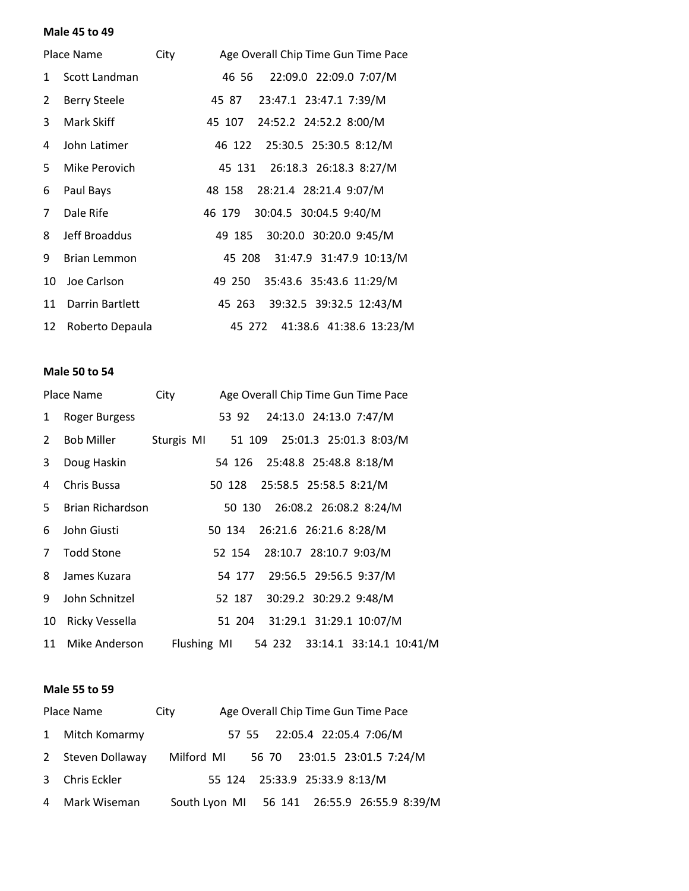#### **Male 45 to 49**

|    | Place Name          | City | Age Overall Chip Time Gun Time Pace |
|----|---------------------|------|-------------------------------------|
| 1  | Scott Landman       |      | 46 56 22:09.0 22:09.0 7:07/M        |
| 2  | <b>Berry Steele</b> |      | 45 87 23:47.1 23:47.1 7:39/M        |
| 3  | Mark Skiff          |      | 45 107 24:52.2 24:52.2 8:00/M       |
| 4  | John Latimer        |      | 46 122 25:30.5 25:30.5 8:12/M       |
| 5. | Mike Perovich       |      | 45 131 26:18.3 26:18.3 8:27/M       |
| 6  | Paul Bays           |      | 48 158 28:21.4 28:21.4 9:07/M       |
| 7  | Dale Rife           |      | 46 179 30:04.5 30:04.5 9:40/M       |
| 8  | Jeff Broaddus       |      | 30:20.0 30:20.0 9:45/M<br>49 185    |
| 9  | <b>Brian Lemmon</b> |      | 45 208 31:47.9 31:47.9 10:13/M      |
| 10 | Joe Carlson         |      | 35:43.6 35:43.6 11:29/M<br>49 250   |
| 11 | Darrin Bartlett     |      | 45 263 39:32.5 39:32.5 12:43/M      |
| 12 | Roberto Depaula     |      | 45 272 41:38.6 41:38.6 13:23/M      |

#### **Male 50 to 54**

|              | Place Name              | City                                     |                               |  | Age Overall Chip Time Gun Time Pace |                                |
|--------------|-------------------------|------------------------------------------|-------------------------------|--|-------------------------------------|--------------------------------|
| $\mathbf{1}$ | Roger Burgess           |                                          |                               |  | 53 92 24:13.0 24:13.0 7:47/M        |                                |
| $2^{\circ}$  | Bob Miller              | Sturgis MI 51 109 25:01.3 25:01.3 8:03/M |                               |  |                                     |                                |
| 3            | Doug Haskin             |                                          |                               |  | 54 126 25:48.8 25:48.8 8:18/M       |                                |
| 4            | Chris Bussa             |                                          | 50 128 25:58.5 25:58.5 8:21/M |  |                                     |                                |
| 5.           | <b>Brian Richardson</b> |                                          |                               |  | 50 130 26:08.2 26:08.2 8:24/M       |                                |
| 6            | John Giusti             |                                          | 50 134 26:21.6 26:21.6 8:28/M |  |                                     |                                |
| $7^{\circ}$  | <b>Todd Stone</b>       |                                          |                               |  | 52 154 28:10.7 28:10.7 9:03/M       |                                |
| 8            | James Kuzara            |                                          |                               |  | 54 177 29:56.5 29:56.5 9:37/M       |                                |
| 9            | John Schnitzel          |                                          | 52 187                        |  | 30:29.2 30:29.2 9:48/M              |                                |
| 10           | Ricky Vessella          |                                          |                               |  | 51 204 31:29.1 31:29.1 10:07/M      |                                |
|              | 11 Mike Anderson        |                                          | Flushing MI                   |  |                                     | 54 232 33:14.1 33:14.1 10:41/M |

#### **Male 55 to 59**

| Place Name        | Age Overall Chip Time Gun Time Pace<br>City |                               |  |                              |  |
|-------------------|---------------------------------------------|-------------------------------|--|------------------------------|--|
| 1 Mitch Komarmy   |                                             | 57 55 22:05.4 22:05.4 7:06/M  |  |                              |  |
| 2 Steven Dollaway | Milford MI                                  |                               |  | 56 70 23:01.5 23:01.5 7:24/M |  |
| 3 Chris Eckler    |                                             | 55 124 25:33.9 25:33.9 8:13/M |  |                              |  |
| 4 Mark Wiseman    | South Lyon MI 56 141 26:55.9 26:55.9 8:39/M |                               |  |                              |  |